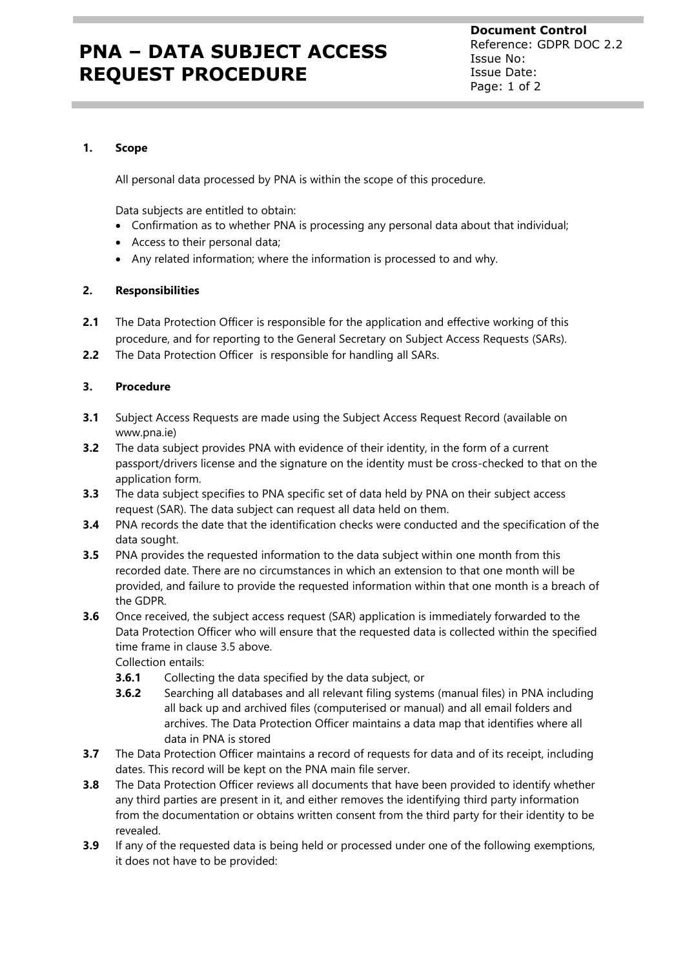# **PNA – DATA SUBJECT ACCESS REQUEST PROCEDURE**

**Document Control** Reference: GDPR DOC 2.2 Issue No: Issue Date: Page: 1 of 2

#### **1. Scope**

All personal data processed by PNA is within the scope of this procedure.

Data subjects are entitled to obtain:

- Confirmation as to whether PNA is processing any personal data about that individual;
- Access to their personal data;
- Any related information; where the information is processed to and why.

### **2. Responsibilities**

- **2.1** The Data Protection Officer is responsible for the application and effective working of this procedure, and for reporting to the General Secretary on Subject Access Requests (SARs).
- **2.2** The Data Protection Officer is responsible for handling all SARs.

### **3. Procedure**

- **3.1** Subject Access Requests are made using the Subject Access Request Record (available on www.pna.ie)
- **3.2** The data subject provides PNA with evidence of their identity, in the form of a current passport/drivers license and the signature on the identity must be cross-checked to that on the application form.
- **3.3** The data subject specifies to PNA specific set of data held by PNA on their subject access request (SAR). The data subject can request all data held on them.
- **3.4** PNA records the date that the identification checks were conducted and the specification of the data sought.
- **3.5** PNA provides the requested information to the data subject within one month from this recorded date. There are no circumstances in which an extension to that one month will be provided, and failure to provide the requested information within that one month is a breach of the GDPR.
- **3.6** Once received, the subject access request (SAR) application is immediately forwarded to the Data Protection Officer who will ensure that the requested data is collected within the specified time frame in clause 3.5 above.

Collection entails:

- **3.6.1** Collecting the data specified by the data subject, or
- **3.6.2** Searching all databases and all relevant filing systems (manual files) in PNA including all back up and archived files (computerised or manual) and all email folders and archives. The Data Protection Officer maintains a data map that identifies where all data in PNA is stored
- **3.7** The Data Protection Officer maintains a record of requests for data and of its receipt, including dates. This record will be kept on the PNA main file server.
- **3.8** The Data Protection Officer reviews all documents that have been provided to identify whether any third parties are present in it, and either removes the identifying third party information from the documentation or obtains written consent from the third party for their identity to be revealed.
- **3.9** If any of the requested data is being held or processed under one of the following exemptions, it does not have to be provided: